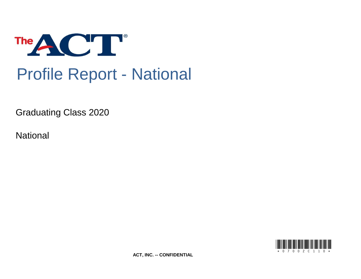

# Profile Report - National

Graduating Class 2020

**National** 



**ACT, INC. -- CONFIDENTIAL**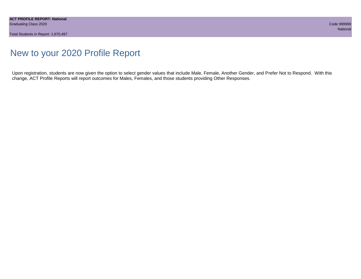### New to your 2020 Profile Report

Upon registration, students are now given the option to select gender values that include Male, Female, Another Gender, and Prefer Not to Respond. With this change, ACT Profile Reports will report outcomes for Males, Females, and those students providing Other Responses.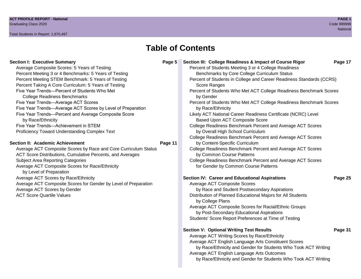### **Table of Contents**

| <b>Section I: Executive Summary</b>                                        | Page 5  | Section III: College Readiness & Impact of Course Rigor              | Page 17 |
|----------------------------------------------------------------------------|---------|----------------------------------------------------------------------|---------|
| Average Composite Scores: 5 Years of Testing                               |         | Percent of Students Meeting 3 or 4 College Readiness                 |         |
| Percent Meeting 3 or 4 Benchmarks: 5 Years of Testing                      |         | Benchmarks by Core College Curriculum Status                         |         |
| Percent Meeting STEM Benchmark: 5 Years of Testing                         |         | Percent of Students in College and Career Readiness Standards (CCRS) |         |
| Percent Taking A Core Curriculum: 5 Years of Testing                       |         | Score Ranges                                                         |         |
| Five Year Trends-Percent of Students Who Met                               |         | Percent of Students Who Met ACT College Readiness Benchmark Scores   |         |
| <b>College Readiness Benchmarks</b>                                        |         | by Gender                                                            |         |
| Five Year Trends-Average ACT Scores                                        |         | Percent of Students Who Met ACT College Readiness Benchmark Scores   |         |
| Five Year Trends-Average ACT Scores by Level of Preparation                |         | by Race/Ethnicity                                                    |         |
| Five Year Trends-Percent and Average Composite Score                       |         | Likely ACT National Career Readiness Certificate (NCRC) Level        |         |
| by Race/Ethnicity                                                          |         | Based Upon ACT Composite Score                                       |         |
| Five Year Trends-Achievement in STEM                                       |         | College Readiness Benchmark Percent and Average ACT Scores           |         |
| Proficiency Toward Understanding Complex Text                              |         | by Overall High School Curriculum                                    |         |
|                                                                            |         | College Readiness Benchmark Percent and Average ACT Scores           |         |
| <b>Section II: Academic Achievement</b>                                    | Page 11 | by Content-Specific Curriculum                                       |         |
| Average ACT Composite Scores by Race and Core Curriculum Status            |         | College Readiness Benchmark Percent and Average ACT Scores           |         |
| ACT Score Distributions, Cumulative Percents, and Averages                 |         | by Common Course Patterns                                            |         |
| <b>Subject Area Reporting Categories</b>                                   |         | College Readiness Benchmark Percent and Average ACT Scores           |         |
| Average ACT Composite Scores for Race/Ethnicity<br>by Level of Preparation |         | for Gender by Common Course Patterns                                 |         |
| Average ACT Scores by Race/Ethnicity                                       |         | Section IV: Career and Educational Aspirations                       | Page 25 |
| Average ACT Composite Scores for Gender by Level of Preparation            |         | Average ACT Composite Scores                                         |         |
| Average ACT Scores by Gender                                               |         | by Race and Student Postsecondary Aspirations                        |         |
| <b>ACT Score Quartile Values</b>                                           |         | Distribution of Planned Educational Majors for All Students          |         |
|                                                                            |         | by College Plans                                                     |         |
|                                                                            |         | Average ACT Composite Scores for Racial/Ethnic Groups                |         |
|                                                                            |         | by Post-Secondary Educational Aspirations                            |         |
|                                                                            |         | Students' Score Report Preferences at Time of Testing                |         |
|                                                                            |         | <b>Section V: Optional Writing Test Results</b>                      | Page 31 |
|                                                                            |         | Average ACT Writing Scores by Race/Ethnicity                         |         |
|                                                                            |         | Average ACT English Language Arts Constituent Scores                 |         |
|                                                                            |         | by Race/Ethnicity and Gender for Students Who Took ACT Writing       |         |
|                                                                            |         | Average ACT English Language Arts Outcomes                           |         |
|                                                                            |         | by Race/Ethnicity and Gender for Students Who Took ACT Writing       |         |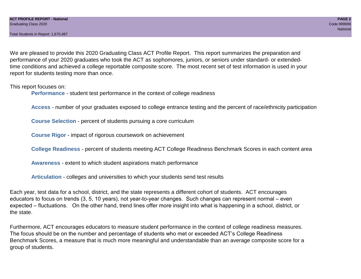We are pleased to provide this 2020 Graduating Class ACT Profile Report. This report summarizes the preparation and performance of your 2020 graduates who took the ACT as sophomores, juniors, or seniors under standard- or extendedtime conditions and achieved a college reportable composite score. The most recent set of test information is used in your report for students testing more than once.

This report focuses on:

**Performance** - student test performance in the context of college readiness

**Access** - number of your graduates exposed to college entrance testing and the percent of race/ethnicity participation

**Course Selection** - percent of students pursuing a core curriculum

**Course Rigor** - impact of rigorous coursework on achievement

**College Readiness** - percent of students meeting ACT College Readiness Benchmark Scores in each content area

**Awareness** - extent to which student aspirations match performance

**Articulation** - colleges and universities to which your students send test results

Each year, test data for a school, district, and the state represents a different cohort of students. ACT encourages educators to focus on trends (3, 5, 10 years), not year-to-year changes. Such changes can represent normal – even expected – fluctuations. On the other hand, trend lines offer more insight into what is happening in a school, district, or the state.

Furthermore, ACT encourages educators to measure student performance in the context of college readiness measures. The focus should be on the number and percentage of students who met or exceeded ACT's College Readiness Benchmark Scores, a measure that is much more meaningful and understandable than an average composite score for a group of students.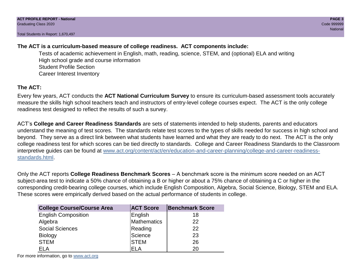### **The ACT is a curriculum-based measure of college readiness. ACT components include:**

Tests of academic achievement in English, math, reading, science, STEM, and (optional) ELA and writing High school grade and course information Student Profile Section Career Interest Inventory

### **The ACT:**

Every few years, ACT conducts the **ACT National Curriculum Survey** to ensure its curriculum-based assessment tools accurately measure the skills high school teachers teach and instructors of entry-level college courses expect. The ACT is the only college readiness test designed to reflect the results of such a survey.

ACT's **College and Career Readiness Standards** are sets of statements intended to help students, parents and educators understand the meaning of test scores. The standards relate test scores to the types of skills needed for success in high school and beyond. They serve as a direct link between what students have learned and what they are ready to do next. The ACT is the only college readiness test for which scores can be tied directly to standards. College and Career Readiness Standards to the Classroom interpretive guides can be found at www.act.org/content/act/en/education-and-career-planning/college-and-career-readinessstandards.html.

Only the ACT reports **College Readiness Benchmark Scores** – A benchmark score is the minimum score needed on an ACT subject-area test to indicate a 50% chance of obtaining a B or higher or about a 75% chance of obtaining a C or higher in the corresponding credit-bearing college courses, which include English Composition, Algebra, Social Science, Biology, STEM and ELA. These scores were empirically derived based on the actual performance of students in college.

| <b>College Course/Course Area</b> | <b>ACT Score</b> | <b>Benchmark Score</b> |
|-----------------------------------|------------------|------------------------|
| <b>English Composition</b>        | English          | 18                     |
| Algebra                           | Mathematics      | 22                     |
| <b>Social Sciences</b>            | Reading          | 22                     |
| <b>Biology</b>                    | Science          | 23                     |
| <b>STEM</b>                       | <b>STEM</b>      | 26                     |
| FI A                              | FI A             | 20                     |

For more information, go to www.act.org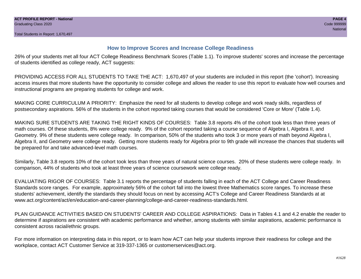#### **How to Improve Scores and Increase College Readiness**

26% of your students met all four ACT College Readiness Benchmark Scores (Table 1.1). To improve students' scores and increase the percentage of students identified as college ready, ACT suggests:

PROVIDING ACCESS FOR ALL STUDENTS TO TAKE THE ACT: 1,670,497 of your students are included in this report (the 'cohort'). Increasing access insures that more students have the opportunity to consider college and allows the reader to use this report to evaluate how well courses and instructional programs are preparing students for college and work.

MAKING CORE CURRICULUM A PRIORITY: Emphasize the need for all students to develop college and work ready skills, regardless of postsecondary aspirations. 56% of the students in the cohort reported taking courses that would be considered 'Core or More' (Table 1.4).

MAKING SURE STUDENTS ARE TAKING THE RIGHT KINDS OF COURSES: Table 3.8 reports 4% of the cohort took less than three years of math courses. Of these students, 8% were college ready. 9% of the cohort reported taking a course sequence of Algebra I, Algebra II, and Geometry. 9% of these students were college ready. In comparison, 50% of the students who took 3 or more years of math beyond Algebra I, Algebra II, and Geometry were college ready. Getting more students ready for Algebra prior to 9th grade will increase the chances that students will be prepared for and take advanced-level math courses.

Similarly, Table 3.8 reports 10% of the cohort took less than three years of natural science courses. 20% of these students were college ready. In comparison, 44% of students who took at least three years of science coursework were college ready.

EVALUATING RIGOR OF COURSES: Table 3.1 reports the percentage of students falling in each of the ACT College and Career Readiness Standards score ranges. For example, approximately 56% of the cohort fall into the lowest three Mathematics score ranges. To increase these students' achievement, identify the standards they should focus on next by accessing ACT's College and Career Readiness Standards at at www.act.org/content/act/en/education-and-career-planning/college-and-career-readiness-standards.html.

PLAN GUIDANCE ACTIVITIES BASED ON STUDENTS' CAREER AND COLLEGE ASPIRATIONS: Data in Tables 4.1 and 4.2 enable the reader to determine if aspirations are consistent with academic performance and whether, among students with similar aspirations, academic performance is consistent across racial/ethnic groups.

For more information on interpreting data in this report, or to learn how ACT can help your students improve their readiness for college and the workplace, contact ACT Customer Service at 319-337-1365 or customerservices@act.org.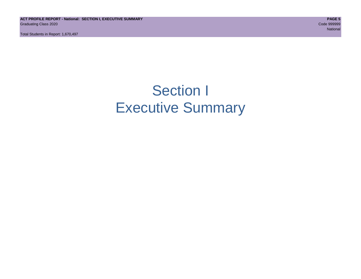## Section I Executive Summary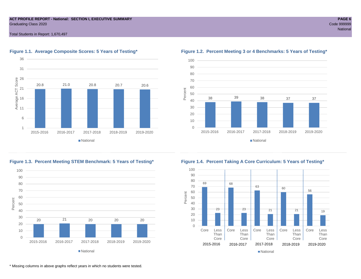#### **ACT PROFILE REPORT - National: SECTION I, EXECUTIVE SUMMARY PAGE 6** Graduating Class 2020 Code 999999

Total Students in Report: 1,670,497



#### **Figure 1.1. Average Composite Scores: 5 Years of Testing\* Figure 1.2. Percent Meeting 3 or 4 Benchmarks: 5 Years of Testing\***



#### **Figure 1.3. Percent Meeting STEM Benchmark: 5 Years of Testing\* Figure 1.4. Percent Taking A Core Curriculum: 5 Years of Testing\***



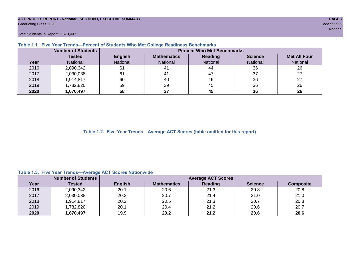#### **ACT PROFILE REPORT - National: SECTION I, EXECUTIVE SUMMARY PAGE 7**

Graduating Class 2020 Code 999999

Total Students in Report: 1,670,497

|      | <b>Number of Students</b> | <b>Percent Who Met Benchmarks</b> |                    |                |                 |                     |  |  |  |  |
|------|---------------------------|-----------------------------------|--------------------|----------------|-----------------|---------------------|--|--|--|--|
|      | Tested                    | <b>English</b>                    | <b>Mathematics</b> | <b>Reading</b> | <b>Science</b>  | <b>Met All Four</b> |  |  |  |  |
| Year | National                  | National                          | National           | National       | <b>National</b> | National            |  |  |  |  |
| 2016 | 2,090,342                 | 61                                | 41                 | 44             | 36              | 26                  |  |  |  |  |
| 2017 | 2,030,038                 | 61                                | 41                 | 47             | 37              | 27                  |  |  |  |  |
| 2018 | 1,914,817                 | 60                                | 40                 | 46             | 36              | 27                  |  |  |  |  |
| 2019 | 1,782,820                 | 59                                | 39                 | 45             | 36              | 26                  |  |  |  |  |
| 2020 | 1,670,497                 | 58                                | 37                 | 45             | 36              | 26                  |  |  |  |  |

#### **Table 1.1. Five Year Trends—Percent of Students Who Met College Readiness Benchmarks**

**Table 1.2. Five Year Trends—Average ACT Scores (table omitted for this report)**

#### **Table 1.3. Five Year Trends—Average ACT Scores Nationwide**

|      | <b>Number of Students</b> |                |                    | <b>Average ACT Scores</b> |                |                  |
|------|---------------------------|----------------|--------------------|---------------------------|----------------|------------------|
| Year | <b>Tested</b>             | <b>English</b> | <b>Mathematics</b> | Reading                   | <b>Science</b> | <b>Composite</b> |
| 2016 | 2,090,342                 | 20.1           | 20.6               | 21.3                      | 20.8           | 20.8             |
| 2017 | 2,030,038                 | 20.3           | 20.7               | 21.4                      | 21.0           | 21.0             |
| 2018 | 1,914,817                 | 20.2           | 20.5               | 21.3                      | 20.7           | 20.8             |
| 2019 | ,782,820                  | 20.1           | 20.4               | 21.2                      | 20.6           | 20.7             |
| 2020 | 1,670,497                 | 19.9           | 20.2               | 21.2                      | 20.6           | 20.6             |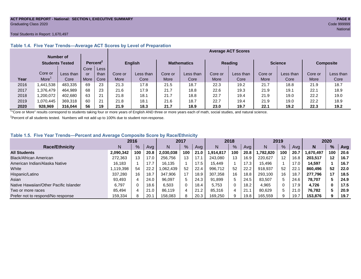#### **ACT PROFILE REPORT - National: SECTION I, EXECUTIVE SUMMARY PAGE 8**

Graduating Class 2020 Code 999999

#### Total Students in Report: 1,670,497

|      |                   |                        |      |                      |                |           | <b>Average ACT Scores</b> |                                      |         |           |             |                |                  |           |  |
|------|-------------------|------------------------|------|----------------------|----------------|-----------|---------------------------|--------------------------------------|---------|-----------|-------------|----------------|------------------|-----------|--|
|      |                   | Number of              |      |                      |                |           |                           |                                      |         |           |             |                |                  |           |  |
|      |                   | <b>Students Tested</b> |      | Percent <sup>2</sup> | <b>English</b> |           |                           | <b>Reading</b><br><b>Mathematics</b> |         |           |             | <b>Science</b> | <b>Composite</b> |           |  |
|      |                   |                        | Core | <b>Less</b>          |                |           |                           |                                      |         |           |             |                |                  |           |  |
|      | Core or           | Less than              | or   | than                 | Core or        | Less than | Core or                   | Less than                            | Core or | Less than | Core or     | Less than      | Core or          | Less than |  |
| Year | More <sup>1</sup> | Core                   | More | Core                 | More           | Core      | <b>More</b>               | Core                                 | More    | Core      | <b>More</b> | Core           | More             | Core      |  |
| 2016 | 441,538           | 483,335                | 69   | 23                   | 21.3           | 17.8      | 21.5                      | 18.7                                 | 22.3    | 19.2      | 21.7        | 18.8           | 21.9             | 18.7      |  |
| 2017 | .376,479          | 464,989                | 68   | 23                   | 21.6           | 17.9      | 21.7                      | 18.8                                 | 22.6    | 19.3      | 21.9        | 19.1           | 22.1             | 18.9      |  |
| 2018 | 1,200,072         | 402,680                | 63   | 21                   | 21.8           | 18.1      | 21.7                      | 18.8                                 | 22.7    | 19.4      | 21.9        | 19.0           | 22.2             | 19.0      |  |
| 2019 | 1,070,445         | 369,318                | 60   | 21                   | 21.8           | 18.1      | 21.6                      | 18.7                                 | 22.7    | 19.4      | 21.9        | 19.0           | 22.2             | 18.9      |  |
| 2020 | 928,969           | 316,044                | 56   | 19                   | 21.9           | 18.3      | 21.7                      | 18.9                                 | 23.0    | 19.7      | 22.1        | 19.2           | 22.3             | 19.2      |  |

#### **Table 1.4. Five Year Trends—Average ACT Scores by Level of Preparation**

<sup>1</sup>"Core or More" results correspond to students taking four or more years of English AND three or more years each of math, social studies, and natural science.

 $2$ Percent of all students tested. Numbers will not add up to 100% due to student non-response.

#### **Table 1.5. Five Year Trends—Percent and Average Composite Score by Race/Ethnicity**

|                                        | 2016      |     |      | 2017      |     |      |           | 2018 |      | 2019      |                   | 2020 |           |      |      |
|----------------------------------------|-----------|-----|------|-----------|-----|------|-----------|------|------|-----------|-------------------|------|-----------|------|------|
| <b>Race/Ethnicity</b>                  | N         | %   | Avg  | N         | %   | Avg  | N         | $\%$ | Avg  | N         | %                 | Avg  | N         | $\%$ | Avg  |
| <b>All Students</b>                    | 2,090,342 | 100 | 20.8 | 2,030,038 | 100 | 21.0 | 1,914,817 | 100  | 20.8 | 1,782,820 | 100               | 20.7 | 1,670,497 | 100  | 20.6 |
| Black/African American                 | 272,363   | 13  | 17.0 | 256.756   | 13  | 17.1 | 243,080   | 13   | 16.9 | 220.627   | $12 \overline{ }$ | 16.8 | 203,517   | 12   | 16.7 |
| American Indian/Alaska Native          | 16.183    |     | 17.7 | 16.135    |     | 17.5 | 15,449    |      | 17.3 | 15.496    |                   | 17.0 | 14.597    |      | 16.7 |
| White                                  | .119.398  | 54  | 22.2 | 1,062,439 | 52  | 22.4 | 996,712   | 52   | 22.2 | 918.937   | 52                | 22.7 | 860,496   | 52   | 22.0 |
| Hispanic/Latino                        | 337,280   | 16  | 18.7 | 347.906   |     | 18.9 | 307,358   | 16   | 18.8 | 293.100   | 16                | 18.7 | 277.796   | 17   | 18.5 |
| Asian                                  | 93,493    | 4   | 24.0 | 96.097    |     | 24.3 | 91,899    | 5    | 24.5 | 83.507    | 5                 | 24.6 | 78,707    |      | 24.9 |
| Native Hawaiian/Other Pacific Islander | 6.797     | 0   | 18.6 | 6.503     |     | 18.4 | 5.753     | 0    | 18.2 | 4.965     | 0                 | 17.9 | 4.726     |      | 17.5 |
| Two or more races                      | 85.494    | 4   | 21.0 | 86.119    | 4   | 21.2 | 85,316    | 4    | 21.1 | 80.629    | 5                 | 21.0 | 76.782    |      | 20.9 |
| Prefer not to respond/No response      | 159,334   | 8   | 20.7 | 158.083   | 8   | 20.3 | 169,250   | 9    | 19.8 | 165,559   | 9                 | 19.7 | 153,876   |      | 19.7 |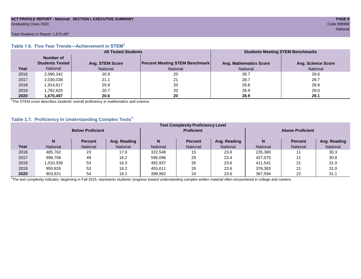#### **ACT PROFILE REPORT - National: SECTION I, EXECUTIVE SUMMARY PAGE 9** Code 9999999 Code 9999999 Code 9999999

Total Students in Report: 1,670,497

#### **Table 1.6. Five Year Trends—Achievement in STEM<sup>1</sup>**

|      |                        | <b>All Tested Students</b> |                                       | <b>Students Meeting STEM Benchmarks</b> |                           |
|------|------------------------|----------------------------|---------------------------------------|-----------------------------------------|---------------------------|
|      | Number of              |                            |                                       |                                         |                           |
|      | <b>Students Tested</b> | <b>Avg. STEM Score</b>     | <b>Percent Meeting STEM Benchmark</b> | <b>Avg. Mathematics Score</b>           | <b>Avg. Science Score</b> |
| Year | National               | National                   | National                              | <b>National</b>                         | <b>National</b>           |
| 2016 | 2,090,342              | 20.9                       | 20                                    | 28.7                                    | 28.6                      |
| 2017 | 2,030,038              | 21.1                       | 21                                    | 28.7                                    | 28.7                      |
| 2018 | 1,914,817              | 20.9                       | 20                                    | 28.8                                    | 28.8                      |
| 2019 | .782,820               | 20.7                       | 20                                    | 28.9                                    | 29.0                      |
| 2020 | 1,670,497              | 20.6                       | 20                                    | 28.9                                    | 29.1                      |

<sup>1</sup>The STEM score describes students' overall proficiency in mathematics and science.

#### **Table 1.7. Proficiency In Understanding Complex Texts<sup>1</sup>**

|      | <b>Text Complexity Proficiency Level</b> |                         |              |          |                   |              |                         |                |              |  |  |
|------|------------------------------------------|-------------------------|--------------|----------|-------------------|--------------|-------------------------|----------------|--------------|--|--|
|      |                                          | <b>Below Proficient</b> |              |          | <b>Proficient</b> |              | <b>Above Proficient</b> |                |              |  |  |
|      | N                                        | <b>Percent</b>          | Avg. Reading | N        | <b>Percent</b>    | Avg. Reading | N                       | <b>Percent</b> | Avg. Reading |  |  |
| Year | National                                 | National                | National     | National | <b>National</b>   | National     | National                | National       | National     |  |  |
| 2016 | 485,762                                  | 23                      | 17.0         | 322,548  | 15                | 23.6         | 235,380                 | 11             | 30.3         |  |  |
| 2017 | 999,708                                  | 49                      | 16.2         | 596.096  | 29                | 23.4         | 427,075                 | 21             | 30.8         |  |  |
| 2018 | 1,010,339                                | 53                      | 16.3         | 492.937  | 26                | 23.6         | 411.541                 | 21             | 31.0         |  |  |
| 2019 | 950,826                                  | 53                      | 16.2         | 455.611  | 26                | 23.6         | 376,383                 | 21             | 31.0         |  |  |
| 2020 | 903,921                                  | 54                      | 16.1         | 398,982  | 24                | 23.6         | 367,594                 | 22             | 31.1         |  |  |

<sup>1</sup>The text complexity indicator, beginning in Fall 2015, represents students' progress toward understanding complex written material often encountered in college and careers.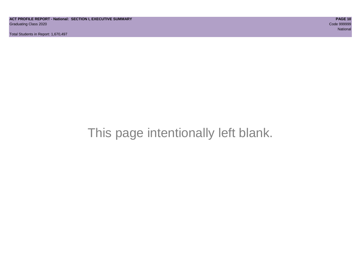**ACT PROFILE REPORT - National: SECTION I, EXECUTIVE SUMMARY PAGE 10** Graduating Class 2020 Code 999999

Total Students in Report: 1,670,497

### This page intentionally left blank.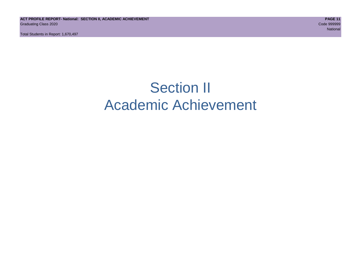# Section II Academic Achievement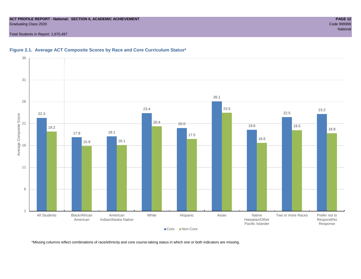#### **ACT PROFILE REPORT - National: SECTION II, ACADEMIC ACHIEVEMENT PAGE 12** Graduating Class 2020 Code 999999

Total Students in Report: 1,670,497

#### **Figure 2.1. Average ACT Composite Scores by Race and Core Curriculum Status\***



\*Missing columns reflect combinations of race/ethnicity and core course-taking status in which one or both indicators are missing.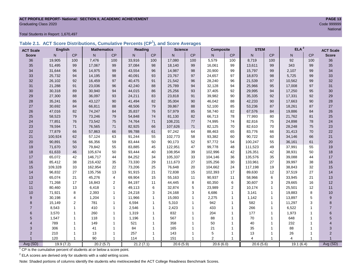#### **ACT PROFILE REPORT- National: SECTION II, ACADEMIC ACHIEVEMENT PAGE 13** Graduating Class 2020 Code 999999

national control of the control of the control of the control of the control of the control of the control of the control of the control of the control of the control of the control of the control of the control of the con Total Students in Report: 1,670,497

#### **Table 2.1. ACT Score Distributions, Cumulative Percents (CP<sup>1</sup> ), and Score Averages**

| <b>ACT Scale</b> | <b>English</b> |                | <b>Mathematics</b> |              | Reading   |              | <b>Science</b> |              | Composite      |                | <b>STEM</b> |              | ELA <sup>2</sup> |                | <b>ACT Scale</b> |
|------------------|----------------|----------------|--------------------|--------------|-----------|--------------|----------------|--------------|----------------|----------------|-------------|--------------|------------------|----------------|------------------|
| <b>Score</b>     | ${\sf N}$      | CP             | ${\sf N}$          | CP           | ${\sf N}$ | CP           | N.             | CP           | N              | CP             | N           | CP           | ${\sf N}$        | CP             | <b>Score</b>     |
| 36               | 19,905         | 100            | 7,476              | 100          | 33,916    | 100          | 17,080         | 100          | 5,579          | 100            | 8,719       | 100          | 92               | 100            | 36               |
| 35               | 51,495         | 99             | 17,067             | 99           | 37,084    | 98           | 18,140         | 99           | 16,061         | 99             | 13,611      | 99           | 343              | 99             | 35               |
| 34               | 31,644         | 96             | 14,975             | 99           | 43,554    | 96           | 14,987         | 98           | 20,900         | 99             | 15,797      | 99           | 2,107            | 99             | 34               |
| 33               | 25,732         | 94             | 14,195             | 98           | 40,091    | 93           | 23,767         | 97           | 24,657         | 97             | 18,870      | 98           | 5,725            | 99             | 33               |
| 32               | 26,102         | 92             | 16,459             | 97           | 40,475    | 91           | 21,542         | 96           | 28,240         | 96             | 21,539      | 97           | 10,562           | 99             | 32               |
| 31               | 21,288         | 91             | 23,036             | 96           | 42,240    | 88           | 25,789         | 94           | 32,128         | 94             | 25,966      | 95           | 17,008           | 97             | 31               |
| $30\,$           | 30,318         | 89             | 30,940             | 94           | 44,015    | 86           | 25,256         | 93           | 37,405         | 92             | 29,995      | 94           | 17,250           | 95             | $30\,$           |
| 29               | 27,300         | 88             | 36,097             | 93           | 24,211    | 83           | 23,818         | 91           | 39,982         | 90             | 35,335      | 92           | 17,331           | 92             | 29               |
| ${\bf 28}$       | 35,241         | 86             | 43,127             | 90           | 41,494    | 82           | 35,004         | 90           | 46,042         | 88             | 42,233      | 90           | 17,663           | $90\,$         | ${\bf 28}$       |
| 27               | 30,692         | 84             | 66,811             | 88           | 48,506    | 79           | 39,867         | 88           | 52,100         | 85             | 53,236      | 87           | 18,261           | 87             | 27               |
| $26\,$           | 47,016         | 82             | 74,247             | 84           | 35,837    | 76           | 57,979         | 85           | 58,740         | 82             | 67,576      | 84           | 19,886           | 84             | 26               |
| 25               | 58,523         | 79             | 73,246             | 79           | 54,848    | 74           | 81,130         | 82           | 66,713         | 78             | 77,993      | 80           | 21,762           | 81             | 25               |
| 24               | 77,851         | 76             | 73,542             | 75           | 74,764    | 71           | 108,231        | 77           | 74,995         | 74             | 82,816      | 75           | 24,898           | 78             | 24               |
| 23               | 78,594         | 71             | 76,565             | 71           | 82,925    | 66           | 107,626        | 71           | 82,125         | 70             | 82,610      | 70           | 28,248           | 75             | 23               |
| 22               | 77,879         | 66             | 57,863             | 66           | 99,788    | 61           | 97,242         | 64           | 88,463         | 65             | 83,776      | 66           | 31,413           | 70             | 22               |
| 21               | 100,924        | 62             | 57,124             | 63           | 91,244    | 55           | 102,773        | 58           | 93,382         | 60             | 90,722      | 60           | 34,146           | 66             | 21               |
| $20\,$           | 90,891         | 56             | 66,356             | 59           | 83,444    | 50           | 90,173         | 52           | 97,772         | 54             | 100,247     | 55           | 36,161           | 61             | $20\,$           |
| 19               | 71,670         | 50             | 79,842             | 55           | 83,885    | 45           | 122,951        | 47           | 99,778         | 48             | 111,523     | 49           | 37,991           | 55             | 19               |
| 18               | 61,633         | 46             | 105,674            | 50           | 93,444    | 40           | 108,954        | 39           | 102,996        | 42             | 126,351     | 42           | 38,931           | 50             | $18$             |
| 17               | 65,072         | 42             | 146,717            | 44           | 84,252    | 34           | 105,337        | 33           | 104,146        | 36             | 135,576     | 35           | 39,088           | 44             | 17               |
| 16               | 85,412         | 38             | 216,432            | 35           | 73,330    | 29           | 111,673        | 27           | 105,256        | 30             | 133,961     | 27           | 39,997           | 38             | $16$             |
| 15               | 109,328        | 33             | 162,954            | 22           | 73,206    | 25           | 76,648         | 20           | 104,662        | 24             | 117,198     | 19           | 38,843           | 32             | 15               |
| 14               | 96,832         | 27             | 135,756            | 13           | 91,915    | 21           | 72,838         | 15           | 102,393        | 17             | 89,630      | 12           | 37,519           | 27             | 14               |
| 13               | 65,074         | 21             | 45,276             | 4            | 69,904    | 15           | 55,163         | 11           | 90,937         | 11             | 58,966      | 6            | 33,945           | 21             | 13               |
| 12               | 71,268         | 17             | 16,843             | 2            | 84,197    | 11           | 44,445         | 8            | 60,350         | 6              | 30,607      | 3            | 29,665           | 16             | 12               |
| 11               | 80,460         | 13             | 6,418              | $\mathbf{1}$ | 49,113    | 6            | 32,874         | 5            | 23,989         | $\mathbf{2}$   | 10,174      | 1            | 25,501           | 12             | $11$             |
| 10               | 71,921         | 8              | 2,393              | $\mathbf{1}$ | 24,218    | 3            | 24,168         | 3            | 6,686          | $\mathbf{1}$   | 3,141       | $\mathbf{1}$ | 19,883           | 8              | $10$             |
| 9                | 30,198         | 4              | 1,204              | $\mathbf{1}$ | 11,966    | $\mathbf{1}$ | 15,093         | 1            | 2,275          | 1              | 1,142       | $\mathbf{1}$ | 13,897           | 5              | $\boldsymbol{9}$ |
| 8                | 15,149         | $\overline{2}$ | 781                | 1            | 6,594     | $\mathbf{1}$ | 5,310          | 1            | 942            | 1              | 582         | $\mathbf{1}$ | 11,297           | 3              | 8                |
| $\overline{7}$   | 8,543          | 1              | 410                | 1            | 2,546     | $\mathbf{1}$ | 2,423          | 1            | 433            | $\mathbf{1}$   | 266         | 1            | 6,522            | $\overline{1}$ | $\overline{7}$   |
| 6                | 3,570          | 1              | 260                | 1            | 1,319     | $\mathbf{1}$ | 832            | 1            | 204            | $\mathbf{1}$   | 177         | 1            | 1,973            | $\overline{1}$ | $\,6$            |
| 5                | 1,547          | 1              | 118                | 1            | 1,196     | $\mathbf{1}$ | 567            | $\mathbf{1}$ | 88             | $\mathbf{1}$   | 70          | 1            | 648              | $\overline{1}$ | 5                |
| $\overline{4}$   | 789            | 1              | 149                | 1            | 521       | $\mathbf{1}$ | 358            | 1            | 50             | $\mathbf{1}$   | 40          | $\mathbf{1}$ | 232              | $\overline{1}$ |                  |
| 3                | 306            | 1              | 41                 | 1            | 84        | $\mathbf{1}$ | 165            | $\mathbf 1$  | 21             | $\overline{1}$ | 35          | $\mathbf{1}$ | 88               | $\overline{1}$ | 3                |
| $\mathbf 2$      | 210            | 1              | 13                 | 1            | 257       | $\mathbf{1}$ | 143            | $\mathbf 1$  | 5              | $\mathbf{1}$   | 13          | 1            | 26               | 1              | $\overline{c}$   |
|                  | 120            | 1              | 90                 | $\mathbf{1}$ | 114       | $\mathbf{1}$ | 151            | $\mathbf{1}$ | $\overline{2}$ |                | 4           | 1            | 4                | $\overline{1}$ | $\overline{1}$   |
| Avg (SD)         | 19.9(7.2)      |                | 20.2(5.7)          |              | 21.2(7.1) |              | 20.6(5.9)      |              | 20.6(6.0)      |                | 20.6(5.6)   |              | 19.1(6.4)        |                | Avg (SD)         |

CP is the cumulative percent of students at or below a score point.

ELA scores are derived only for students with a valid writing score.

Note: Shaded portions of columns identify the students who met/exceeded the ACT College Readiness Benchmark Scores.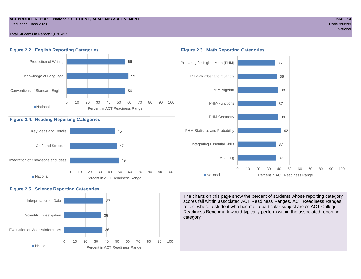#### **ACT PROFILE REPORT - National: SECTION II, ACADEMIC ACHIEVEMENT PAGE 14** Graduating Class 2020 Code 999999

#### Total Students in Report: 1,670,497



#### **Figure 2.4. Reading Reporting Categories**



#### **Figure 2.5. Science Reporting Categories**





The charts on this page show the percent of students whose reporting category scores fall within associated ACT Readiness Ranges. ACT Readiness Ranges reflect where a student who has met a particular subject area's ACT College Readiness Benchmark would typically perform within the associated reporting category.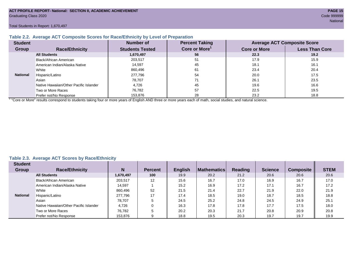#### **Table 2.2. Average ACT Composite Scores for Race/Ethnicity by Level of Preparation**

| <b>Student</b>  |                                        | Number of              | <b>Percent Taking</b>     | <b>Average ACT Composite Score</b> |                       |  |  |
|-----------------|----------------------------------------|------------------------|---------------------------|------------------------------------|-----------------------|--|--|
| Group           | <b>Race/Ethnicity</b>                  | <b>Students Tested</b> | Core or More <sup>1</sup> | <b>Core or More</b>                | <b>Less Than Core</b> |  |  |
|                 | <b>All Students</b>                    | 1,670,497              | 56                        | 22.3                               | 19.2                  |  |  |
|                 | Black/African American                 | 203.517                | 51                        | 17.9                               | 15.9                  |  |  |
|                 | American Indian/Alaska Native          | 14.597                 | 45                        | 18.1                               | 16.1                  |  |  |
|                 | White                                  | 860,496                | 61                        | 23.4                               | 20.4                  |  |  |
| <b>National</b> | Hispanic/Latino                        | 277,796                | 54                        | 20.0                               | 17.5                  |  |  |
|                 | Asian                                  | 78.707                 |                           | 26.1                               | 23.5                  |  |  |
|                 | Native Hawaiian/Other Pacific Islander | 4,726                  | 45                        | 19.6                               | 16.6                  |  |  |
|                 | Two or More Races                      | 76.782                 | 57                        | 22.5                               | 19.5                  |  |  |
|                 | Prefer not/No Response                 | 153,876                | 28                        | 23.2                               | 18.8                  |  |  |

<sup>1</sup> "Core or More" results correspond to students taking four or more years of English AND three or more years each of math, social studies, and natural science.

#### **Table 2.3. Average ACT Scores by Race/Ethnicity**

| <b>Student</b>  |                                        |           |                  |                |             |                |                |                  |             |
|-----------------|----------------------------------------|-----------|------------------|----------------|-------------|----------------|----------------|------------------|-------------|
| Group           | <b>Race/Ethnicity</b>                  | N         | <b>Percent</b>   | <b>English</b> | Mathematics | <b>Reading</b> | <b>Science</b> | <b>Composite</b> | <b>STEM</b> |
|                 | <b>All Students</b>                    | 1,670,497 | 100 <sub>1</sub> | 19.9           | 20.2        | 21.2           | 20.6           | 20.6             | 20.6        |
|                 | Black/African American                 | 203,517   | 12               | 15.6           | 16.7        | 17.0           | 16.9           | 16.7             | 17.0        |
|                 | American Indian/Alaska Native          | 14.597    |                  | 15.2           | 16.9        | 17.2           | 17.1           | 16.7             | 17.2        |
|                 | White                                  | 860,496   | 52               | 21.5           | 21.4        | 22.7           | 21.9           | 22.0             | 21.9        |
| <b>National</b> | Hispanic/Latino                        | 277.796   | 17               | 17.4           | 18.5        | 19.0           | 18.7           | 18.5             | 18.8        |
|                 | Asian                                  | 78,707    |                  | 24.5           | 25.2        | 24.8           | 24.5           | 24.9             | 25.1        |
|                 | Native Hawaiian/Other Pacific Islander | 4.726     |                  | 16.3           | 17.8        | 17.8           | 17.7           | 17.5             | 18.0        |
|                 | Two or More Races                      | 76,782    |                  | 20.2           | 20.3        | 21.7           | 20.8           | 20.9             | 20.8        |
|                 | Prefer not/No Response                 | 153,876   |                  | 18.8           | 19.5        | 20.3           | 19.7           | 19.7             | 19.9        |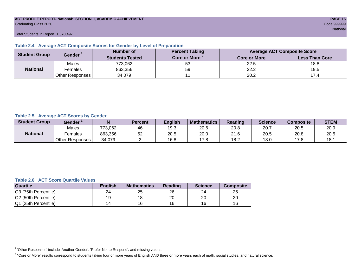#### **ACT PROFILE REPORT- National: SECTION II, ACADEMIC ACHIEVEMENT PAGE 16** Graduating Class 2020 Code 999999

Total Students in Report: 1,670,497

#### **Table 2.4. Average ACT Composite Scores for Gender by Level of Preparation**

| <b>Student Group</b> |                  | Number of              | <b>Percent Taking</b> | <b>Average ACT Composite Score</b> |                       |  |  |
|----------------------|------------------|------------------------|-----------------------|------------------------------------|-----------------------|--|--|
|                      | Gender           | <b>Students Tested</b> | Core or More 4        | <b>Core or More</b>                | <b>Less Than Core</b> |  |  |
| <b>National</b>      | Males<br>773,062 |                        | 53                    | 22.5                               | 18.8                  |  |  |
|                      | Females          | 863,356                | 59                    | 22.2                               | 19.5                  |  |  |
|                      | Other Responses  | 34.079                 |                       | 20.2                               |                       |  |  |

#### **Table 2.5. Average ACT Scores by Gender**

| <b>Student Group</b> | Gender          |         | Percent | English | <b>Mathematics</b> | <b>Reading</b> | <b>Science</b> | <b>Composite</b> | <b>STEM</b> |
|----------------------|-----------------|---------|---------|---------|--------------------|----------------|----------------|------------------|-------------|
|                      | Males           | 773,062 | 46      | 19.3    | 20.6               | 20.8           | 20.7           | 20.5             | 20.9        |
| <b>National</b>      | Females         | 863,356 | 52      | 20.5    | 20.0               | 21.6           | 20.5           | 20.8             | 20.5        |
|                      | Other Responses | 34,079  |         | 16.8    | 17.8               | 18.2           | 18.0           | 17 O<br>.        | 18.1        |

#### **Table 2.6. ACT Score Quartile Values**

| Quartile             | <b>English</b> | <b>Mathematics</b> | <b>Reading</b> | <b>Science</b> | <b>Composite</b> |
|----------------------|----------------|--------------------|----------------|----------------|------------------|
| Q3 (75th Percentile) | 24             | 25                 | 26             | 24             | 25               |
| Q2 (50th Percentile) | 19             | 18                 | 20             | 20             | 20               |
| Q1 (25th Percentile) | 14             | 16                 | 16             | 16             | 16               |

<sup>&</sup>lt;sup>1</sup> 'Other Responses' include 'Another Gender', 'Prefer Not to Respond', and missing values.

<sup>&</sup>lt;sup>2</sup> "Core or More" results correspond to students taking four or more years of English AND three or more years each of math, social studies, and natural science.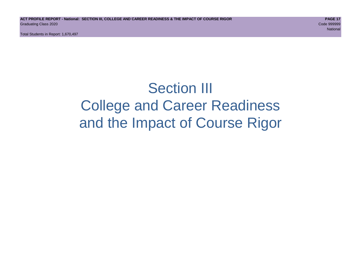Section III College and Career Readiness and the Impact of Course Rigor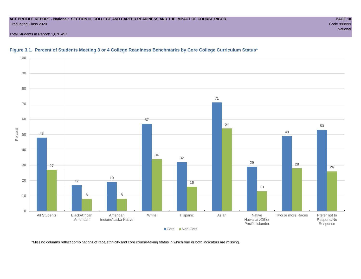#### **ACT PROFILE REPORT - National: SECTION III, COLLEGE AND CAREER READINESS AND THE IMPACT OF COURSE RIGOR PAGE 18** Graduating Class 2020 Code 999999

Total Students in Report: 1,670,497



#### **Figure 3.1. Percent of Students Meeting 3 or 4 College Readiness Benchmarks by Core College Curriculum Status\***

\*Missing columns reflect combinations of race/ethnicity and core course-taking status in which one or both indicators are missing.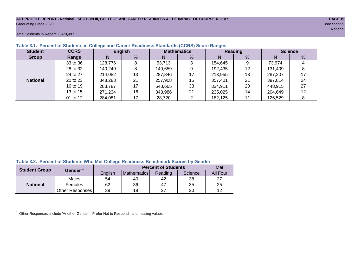#### **ACT PROFILE REPORT - National: SECTION III, COLLEGE AND CAREER READINESS & THE IMPACT OF COURSE RIGOR PAGE 19** Graduating Class 2020 Code 999999

Total Students in Report: 1,670,497

| <b>Student</b>  | <b>CCRS</b> |         | <b>English</b> | <b>Mathematics</b> |      |         | Reading | <b>Science</b> |    |  |
|-----------------|-------------|---------|----------------|--------------------|------|---------|---------|----------------|----|--|
| Group           | Range       | N       | %              | N                  | $\%$ | N       | $\%$    | N              | %  |  |
|                 | 33 to 36    | 128,776 | 8              | 53.713             | 3    | 154.645 | 9       | 73.974         | 4  |  |
|                 | 28 to 32    | 140,249 | 8              | 149,659            | 9    | 192,435 | 12      | 131,409        | 8  |  |
|                 | 24 to 27    | 214,082 | 13             | 287.846            | 17   | 213.955 | 13      | 287,207        | 17 |  |
| <b>National</b> | 20 to 23    | 348,288 | 21             | 257,908            | 15   | 357.401 | 21      | 397,814        | 24 |  |
|                 | 16 to 19    | 283.787 | 17             | 548,665            | 33   | 334.911 | 20      | 448,915        | 27 |  |
|                 | 13 to 15    | 271,234 | 16             | 343,986            | 21   | 235,025 | 14      | 204,649        | 12 |  |
|                 | 01 to 12    | 284,081 | 17             | 28,720             | ົ    | 182,125 | 11      | 126,529        | 8  |  |

#### **Table 3.1. Percent of Students in College and Career Readiness Standards (CCRS) Score Ranges**

#### **Table 3.2. Percent of Students Who Met College Readiness Benchmark Scores by Gender**

| <b>Student Group</b> |                 |         | <b>Percent of Students</b> |         |         |          |  |  |  |  |  |
|----------------------|-----------------|---------|----------------------------|---------|---------|----------|--|--|--|--|--|
|                      | Gender '        | English | <b>Mathematics</b>         | Reading | Science | All Four |  |  |  |  |  |
|                      | Males           | 54      | 40                         | 42      | 38      | 27       |  |  |  |  |  |
| <b>National</b>      | Females         | 62      | 36                         | 47      | 35      | 25       |  |  |  |  |  |
|                      | Other Responses | 39      | 19                         | 27      | 20      | 12       |  |  |  |  |  |

<sup>1</sup> 'Other Responses' include 'Another Gender', 'Prefer Not to Respond', and missing values.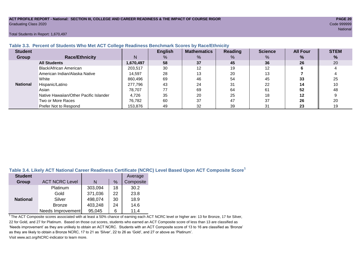#### **ACT PROFILE REPORT - National: SECTION III, COLLEGE AND CAREER READINESS & THE IMPACT OF COURSE RIGOR PAGE 20** Graduating Class 2020 Code 999999

#### Total Students in Report: 1,670,497

**Table 3.3. Percent of Students Who Met ACT College Readiness Benchmark Scores by Race/Ethnicity**

| <b>Student</b>  |                                        |           | <b>English</b> | <b>Mathematics</b> | Reading | <b>Science</b> | <b>All Four</b> | <b>STEM</b> |
|-----------------|----------------------------------------|-----------|----------------|--------------------|---------|----------------|-----------------|-------------|
| Group           | <b>Race/Ethnicity</b>                  | N         | $\%$           | $\%$               | $\%$    | $\%$           | ℅               | $\%$        |
|                 | <b>All Students</b>                    | 1,670,497 | 58             | 37                 | 45      | 36             | 26              | 20          |
|                 | <b>Black/African American</b>          | 203,517   | 30             | 12                 | 19      | 12             |                 |             |
|                 | American Indian/Alaska Native          | 14,597    | 28             | 13                 | 20      | 13             |                 |             |
|                 | White                                  | 860,496   | 69             | 46                 | 54      | 45             | 33              | 25          |
| <b>National</b> | Hispanic/Latino                        | 277.796   | 43             | 24                 | 31      | 22             | 14              | 10          |
|                 | Asian                                  | 78,707    | 77             | 69                 | 64      | 61             | 52              | 48          |
|                 | Native Hawaiian/Other Pacific Islander | 4,726     | 35             | 20                 | 25      | 18             | $12 \,$         |             |
|                 | Two or More Races                      | 76.782    | 60             | 37                 | 47      | 37             | 26              | 20          |
|                 | Prefer Not to Respond                  | 153,876   | 49             | 32                 | 39      | 31             | 23              | 19          |

national control of the control of the control of the control of the control of the control of the control of the control of the control of the control of the control of the control of the control of the control of the con

#### **Table 3.4. Likely ACT National Career Readiness Certificate (NCRC) Level Based Upon ACT Composite Score<sup>1</sup>**

| <b>Student</b>  |                       |         |      | Average   |
|-----------------|-----------------------|---------|------|-----------|
| Group           | <b>ACT NCRC Level</b> | N       | $\%$ | Composite |
|                 | Platinum              | 303,094 | 18   | 30.2      |
|                 | Gold                  | 371,036 | 22   | 23.8      |
| <b>National</b> | Silver                | 498,074 | 30   | 18.9      |
|                 | <b>Bronze</b>         | 403,248 | 24   | 14.6      |
|                 | Needs Improvement     | 95,045  | 6    | 11.4      |

<sup>1</sup>The ACT Composite scores associated with at least a 50% chance of earning each ACT NCRC level or higher are: 13 for Bronze, 17 for Silver, 22 for Gold, and 27 for Platinum. Based on those cut scores, students who earned an ACT Composite score of less than 13 are classified as 'Needs improvement' as they are unlikely to obtain an ACT NCRC. Students with an ACT Composite score of 13 to 16 are classified as 'Bronze' as they are likely to obtain a Bronze NCRC, 17 to 21 as 'Silver', 22 to 26 as 'Gold', and 27 or above as 'Platinum'. Visit www.act.org/NCRC-indicator to learn more.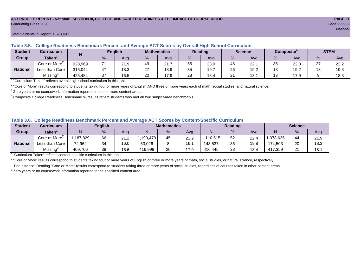#### **ACT PROFILE REPORT - National: SECTION III, COLLEGE AND CAREER READINESS & THE IMPACT OF COURSE RIGOR PAGE 21** Code 999999 Code 999999 Code 999999 Code 999999 Code 999999 Code 999999 Code 999999 Code 999999 Code 999999 Code 999999 Code 999999 Code 99999 Code 99999 Code 99999 Code 99999 Code 99999 Code 99999 Code 99999 Code 99999 Co

Total Students in Report: 1,670,497

| <b>Student</b>  | <b>Curriculum</b>                      |         |    | <b>English</b> |    | <b>Mathematics</b> |    | Reading |        | <b>Science</b> | <b>Composite</b> <sup>4</sup> |      | <b>STEM</b>         |      |
|-----------------|----------------------------------------|---------|----|----------------|----|--------------------|----|---------|--------|----------------|-------------------------------|------|---------------------|------|
| <b>Group</b>    | <b>Taken</b>                           |         | %  | Avg            |    | Avg                | %  | Avg     | 0/2    | Avg            | %                             | Avg  | %                   | Avg  |
|                 | Core or More <sup><math>2</math></sup> | 928,969 | 74 | 21.9           | 49 | $\Omega$<br>.      | 55 | 23.0    | 46     | 22.            | 35                            | 22.3 | $\sim$<br>∠         | 22.2 |
| <b>National</b> | Less than Core                         | 316.044 | 47 | 18.3           | ົ  | 18.9               | 35 | 19.7    | 26     | 19.2           | 18                            | 19.2 | $\overline{ }$<br>ັ | 19.3 |
|                 | Missing                                | 425,484 | 37 | 16.5           | 20 | 17.9               | 28 | 18.4    | $\sim$ | 18.7           | $\sqrt{ }$<br>ں ا             | 17.9 |                     | 18.3 |

#### **Table 3.5. College Readiness Benchmark Percent and Average ACT Scores by Overall High School Curriculum**

 $1$  "Curriculum Taken" reflects overall high school curriculum in this table.

<sup>2</sup> "Core or More" results correspond to students taking four or more years of English AND three or more years each of math, social studies, and natural science.

 $3$  Zero years or no coursework information reported in one or more content areas.

<sup>4</sup> Composite College Readiness Benchmark % results reflect students who met all four subject-area benchmarks.

#### **Table 3.6. College Readiness Benchmark Percent and Average ACT Scores by Content-Specific Curriculum**

| <b>Student</b>  | <b>Curriculum</b>         | <b>English</b> |    |      | <b>Mathematics</b> |    |      |         | <b>Reading</b> |      | <b>Science</b> |                |      |
|-----------------|---------------------------|----------------|----|------|--------------------|----|------|---------|----------------|------|----------------|----------------|------|
| Group           | <b>Taken</b>              |                | %  | Ava  |                    |    | Avg  |         | $\%$           | Avg  | N              | %              | Avg  |
|                 | Core or More <sup>2</sup> | .187.829       | 66 | 21.2 | .190.473           | 45 | 21   | 110,515 | 52             | 22.4 | ,078,635       | 44             | 21.9 |
| <b>National</b> | Less than Core            | 72,962         | 34 | 16.0 | 63.026             |    | 16.  | 143.537 | 36             | 19.8 | 174.503        | 20             | 18.3 |
|                 | $\mathsf{Missing}^3$      | 409,706        | 38 | 16.6 | 416,998            | 20 | 17.9 | 416,445 | 28             | 18.4 | 417,359        | ດ⊿<br><u>.</u> | 18.7 |

<sup>1</sup> "Curriculum Taken" reflects content-specific curriculum in this table.

<sup>2</sup> "Core or More" results correspond to students taking four or more years of English or three or more years of math, social studies, or natural science, respectively.

For instance, Reading "Core or More" results correspond to students taking three or more years of social studies, regardless of courses taken in other content areas.

 $3$  Zero years or no coursework information reported in the specified content area.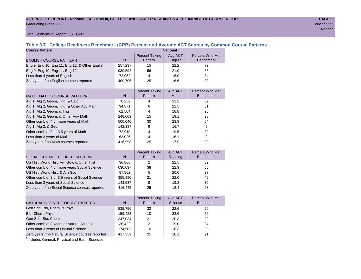### **ACT PROFILE REPORT - National: SECTION III, COLLEGE AND CAREER READINESS & THE IMPACT OF COURSE RIGOR PAGE 22** Graduating Class 2020 Code 999999

#### Total Students in Report: 1,670,497

| <b>Course Pattern</b>                            |         |                       | <b>National</b> |                  |
|--------------------------------------------------|---------|-----------------------|-----------------|------------------|
|                                                  |         | <b>Percent Taking</b> | Avg ACT         | Percent Who Met  |
| <b>ENGLISH COURSE PATTERN</b>                    | N       | Pattern               | English         | <b>Benchmark</b> |
| Eng 9, Eng 10, Eng 11, Eng 12, & Other English   | 257,237 | 15                    | 22.2            | 72               |
| Eng 9, Eng 10, Eng 11, Eng 12                    | 930,592 | 56                    | 21.0            | 65               |
| Less than 4 years of English                     | 72,962  | 4                     | 16.0            | 34               |
| Zero years / no English courses reported         | 409,706 | 25                    | 16.6            | 38               |
|                                                  |         | <b>Percent Taking</b> | Avg ACT         | Percent Who Met  |
| <b>MATHEMATICS COURSE PATTERN</b>                | N       | Pattern               | Math            | <b>Benchmark</b> |
| Alg 1, Alg 2, Geom, Trig, & Calc                 | 70,252  | 4                     | 23.2            | 62               |
| Alg 1, Alg 2, Geom, Trig, & Other Adv Math       | 94,371  | 6                     | 21.5            | 51               |
| Alg 1, Alg 2, Geom, & Trig                       | 62,504  | 4                     | 18.8            | 26               |
| Alg 1, Alg 2, Geom, & Other Adv Math             | 248,009 | 15                    | 19.1            | 28               |
| Other comb of 4 or more years of Math            | 500,040 | 30                    | 23.9            | 64               |
| Alg 1, Alg 2, & Geom                             | 142,387 | 9                     | 16.7            | 9                |
| Other comb of 3 or 3.5 years of Math             | 72,910  | 4                     | 19.5            | 32               |
| Less than 3 years of Math                        | 63,026  | 4                     | 16.1            | 8                |
| Zero years / no Math courses reported            | 416,998 | 25                    | 17.9            | 20               |
|                                                  |         | <b>Percent Taking</b> | Avg ACT         | Percent Who Met  |
| SOCIAL SCIENCE COURSE PATTERN                    | N       | Pattern               | Reading         | <b>Benchmark</b> |
| US Hist, World Hist, Am Gov, & Other Hist        | 36,866  | 2                     | 22.5            | 52               |
| Other comb of 4 or more years Social Science     | 630,097 | 38                    | 22.9            | 55               |
| US Hist, World Hist, & Am Gov                    | 87,562  | 5                     | 20.0            | 37               |
| Other comb of 3 or 3.5 years of Social Science   | 355,990 | 21                    | 22.0            | 49               |
| Less than 3 years of Social Science              | 143,537 | 9                     | 19.8            | 36               |
| Zero years / no Social Science courses reported  | 416,445 | 25                    | 18.4            | 28               |
|                                                  |         | <b>Percent Taking</b> | Avg ACT         | Percent Who Met  |
| NATURAL SCIENCE COURSE PATTERN                   | N       | Pattern               | Science         | <b>Benchmark</b> |
| Gen Sci <sup>1</sup> , Bio, Chem, & Phys         | 535,756 | 32                    | 22.6            | 50               |
| Bio, Chem, Phys                                  | 159,423 | 10                    | 23.6            | 56               |
| Gen Sci <sup>1</sup> , Bio, Chem                 | 347,034 | 21                    | 20.3            | 32               |
| Other comb of 3 years of Natural Science         | 36,422  | 2                     | 19.0            | 24               |
| Less than 3 years of Natural Science             | 174,503 | 10                    | 18.3            | 20               |
| Zero years / no Natural Science courses reported | 417,359 | 25                    | 18.1            | 21               |

<sup>1</sup>Includes General, Physical and Earth Sciences.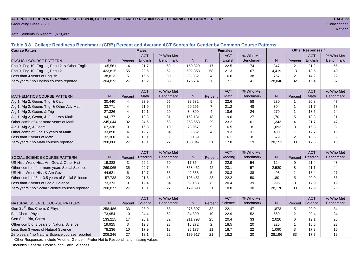#### **ACT PROFILE REPORT - National: SECTION III, COLLEGE AND CAREER READINESS & THE IMPACT OF COURSE RIGOR PAGE 23** Graduating Class 2020 Code 999999

national control of the control of the control of the control of the control of the control of the control of the control of the control of the control of the control of the control of the control of the control of the con

#### Total Students in Report: 1,670,497

**Table 3.8. College Readiness Benchmark (CRB) Percent and Average ACT Scores for Gender by Common Course Patterns**

| <b>Course Pattern</b>                            |                   | <b>Males</b>                     |              |                  |                   |                     | <b>Females</b> |                  | Other Responses <sup>1</sup> |                                |              |                  |
|--------------------------------------------------|-------------------|----------------------------------|--------------|------------------|-------------------|---------------------|----------------|------------------|------------------------------|--------------------------------|--------------|------------------|
|                                                  |                   |                                  | <b>ACT</b>   | % Who Met        |                   |                     | <b>ACT</b>     | % Who Met        |                              |                                | <b>ACT</b>   | % Who Met        |
| <b>ENGLISH COURSE PATTERN</b>                    | N                 | Percent                          | English      | <b>Benchmark</b> | $\mathsf{N}$      | Percent             | English        | <b>Benchmark</b> | N                            | Percent                        | English      | <b>Benchmark</b> |
| Eng 9, Eng 10, Eng 11, Eng 12, & Other English   | 105,561           | 14                               | 21.7         | 69               | 150,829           | 17                  | 22.5           | 74               | 847                          | 2                              | 21.2         | 65               |
| Eng 9, Eng 10, Eng 11, Eng 12                    | 423,815           | 55                               | 20.6         | 62               | 502,358           | 58                  | 21.3           | 67               | 4,419                        | 13                             | 18.5         | 49               |
| Less than 4 years of English                     | 38,813            | 5                                | 15.5         | 30               | 33,382            | $\overline{4}$      | 16.6           | 38               | 767                          | 2                              | 14.2         | 22               |
| Zero years / no English courses reported         | 204,873           | 27                               | 16.2         | 35               | 176,787           | 20                  | 17.1           | 41               | 28,046                       | 82                             | 16.4         | 37               |
|                                                  |                   |                                  | <b>ACT</b>   | % Who Met        |                   |                     | <b>ACT</b>     | % Who Met        |                              |                                | <b>ACT</b>   | % Who Met        |
| <b>MATHEMATICS COURSE PATTERN</b>                | N                 | Percent                          | <b>Math</b>  | <b>Benchmark</b> | $\mathsf{N}$      | Percent             | Math           | <b>Benchmark</b> | N                            | Percent                        | Math         | <b>Benchmark</b> |
| Alg 1, Alg 2, Geom, Trig, & Calc                 | 30,440            | 4                                | 23.9         | 66               | 39,582            | 5                   | 22.6           | 58               | 230                          |                                | 20.8         | 47               |
| Alg 1, Alg 2, Geom, Trig, & Other Adv Math       | 33,771            | $\overline{4}$                   | 21.9         | 55               | 60,296            | $\overline{7}$      | 21.2           | 48               | 304                          | $\mathbf{1}$                   | 21.7         | 53               |
| Alg 1, Alg 2, Geom, & Trig                       | 27,326            | 4                                | 19.1         | 29               | 34,899            | $\overline{4}$      | 18.6           | 24               | 279                          | $\mathbf{1}$                   | 18.5         | 24               |
| Alg 1, Alg 2, Geom, & Other Adv Math             | 94,177            | 12                               | 19.3         | 31               | 152,131           | 18                  | 19.0           | 27               | 1,701                        | 5                              | 18.3         | 21               |
| Other comb of 4 or more years of Math            | 245,044           | 32                               | 24.6         | 68               | 253,653           | 29                  | 23.2           | 61               | 1,343                        | 4                              | 21.7         | 47               |
| Alg 1, Alg 2, & Geom                             | 67,338            | 9                                | 16.8         | 10               | 73,957            | 9                   | 16.5           | 8                | 1,092                        | 3                              | 16.3         | 8                |
| Other comb of 3 or 3.5 years of Math             | 33,858            | $\overline{4}$<br>$\overline{4}$ | 19.7<br>16.1 | 34<br>8          | 38,652            | $\overline{4}$<br>3 | 19.3<br>16.1   | 31<br>8          | 400<br>579                   | $\mathbf{1}$<br>$\overline{2}$ | 17.7<br>15.6 | 18<br>6          |
| Less than 3 years of Math                        | 32,308<br>208,800 | 27                               | 18.1         | 22               | 30,139<br>180,047 | 21                  | 17.8           | 19               |                              | 83                             | 17.6         | 18               |
| Zero years / no Math courses reported            |                   |                                  |              |                  |                   |                     |                |                  | 28,151                       |                                |              |                  |
|                                                  |                   |                                  | <b>ACT</b>   | % Who Met        |                   |                     | <b>ACT</b>     | % Who Met        |                              |                                | <b>ACT</b>   | % Who Met        |
| SOCIAL SCIENCE COURSE PATTERN                    | N <sub>1</sub>    | Percent                          | Reading      | <b>Benchmark</b> | N.                | Percent             | Reading        | <b>Benchmark</b> | N                            | Percent                        | Reading      | <b>Benchmark</b> |
| US Hist, World Hist, Am Gov, & Other Hist        | 19,388            | 3                                | 22.2         | 50               | 17,354            | $\overline{2}$      | 22.9           | 54               | 124                          | 0                              | 21.4         | 48               |
| Other comb of 4 or more years Social Science     | 269,065           | 35                               | 22.7         | 54               | 358,452           | 42                  | 23.1           | 57               | 2,580                        | 8                              | 21.1         | 44               |
| US Hist, World Hist, & Am Gov                    | 44,621            | 6                                | 19.7         | 35               | 42.533            | 5                   | 20.3           | 38               | 408                          | 1                              | 18.4         | 27               |
| Other comb of 3 or 3.5 years of Social Science   | 157,738           | 20                               | 21.8         | 48               | 196,451           | 23                  | 22.2           | 50               | 1,801                        | 5                              | 20.0         | 36               |
| Less than 3 years of Social Science              | 73,373            | 9                                | 19.4         | 34               | 69.168            | 8                   | 20.4           | 39               | 996                          | 3                              | 17.0         | 19               |
| Zero years / no Social Science courses reported  | 208,877           | 27                               | 18.1         | 27               | 179,398           | 21                  | 18.8           | 30               | 28,170                       | 83                             | 17.9         | 25               |
|                                                  |                   |                                  | <b>ACT</b>   | % Who Met        |                   |                     | <b>ACT</b>     | % Who Met        |                              |                                | <b>ACT</b>   | % Who Met        |
| NATURAL SCIENCE COURSE PATTERN                   | N <sub>1</sub>    | Percent                          | Science      | <b>Benchmark</b> | N.                | Percent             | Science        | <b>Benchmark</b> | $\mathsf{N}$                 | Percent                        | Science      | <b>Benchmark</b> |
| Gen Sci <sup>2</sup> , Bio, Chem, & Phys         | 258,486           | 33                               | 23.0         | 53               | 275,397           | 32                  | 22.1           | 47               | 1,873                        | 5                              | 20.0         | 34               |
| Bio, Chem, Phys                                  | 73,954            | 10                               | 24.4         | 62               | 84,800            | 10                  | 22.9           | 52               | 669                          | 2                              | 20.4         | 34               |
| Gen Sci <sup>1</sup> , Bio, Chem                 | 133,215           | 17                               | 20.1         | 32               | 211,793           | 25                  | 20.4           | 33               | 2,026                        | 6                              | 19.1         | 25               |
| Other comb of 3 years of Natural Science         | 19,925            | 3                                | 19.3         | 28               | 16,272            | $\overline{2}$      | 18.5           | 20               | 225                          | $\mathbf{1}$                   | 18.5         | 23               |
| Less than 3 years of Natural Science             | 78,236            | 10                               | 17.9         | 18               | 95,177            | 11                  | 18.7           | 22               | 1,090                        | 3                              | 17.3         | 16               |
| Zero years / no Natural Science courses reported | 209,246           | 27                               | 18.1         | 22               | 179,917           | 21                  | 18.2           | 20               | 28,196                       | 83                             | 17.7         | 19               |

<sup>1</sup> 'Other Responses' include 'Another Gender', 'Prefer Not to Respond', and missing values.

 $2$  Includes General, Physical and Earth Sciences.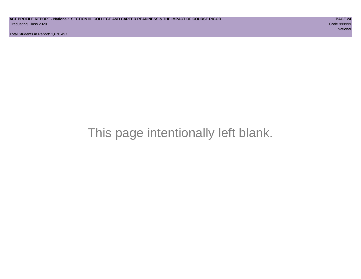**ACT PROFILE REPORT - National: SECTION III, COLLEGE AND CAREER READINESS & THE IMPACT OF COURSE RIGOR PAGE 24** Graduating Class 2020 Code 999999

Total Students in Report: 1,670,497

national control of the control of the control of the control of the control of the control of the control of the control of the control of the control of the control of the control of the control of the control of the con

## This page intentionally left blank.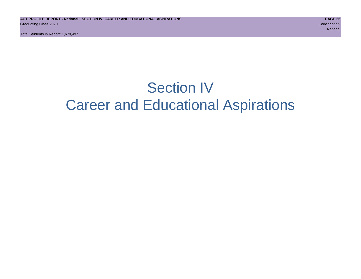# Section IV Career and Educational Aspirations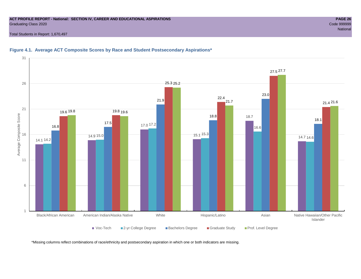#### **ACT PROFILE REPORT - National: SECTION IV, CAREER AND EDUCATIONAL ASPIRATIONS PAGE 26** Graduating Class 2020 Code 999999

Total Students in Report: 1,670,497





\*Missing columns reflect combinations of race/ethnicity and postsecondary aspiration in which one or both indicators are missing.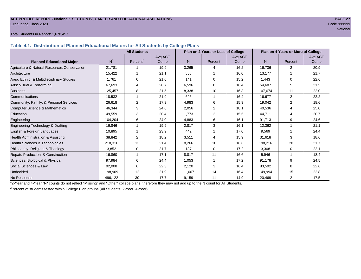#### **ACT PROFILE REPORT - National: SECTION IV, CAREER AND EDUCATIONAL ASPIRATIONS PAGE 27** Graduating Class 2020 Code 999999

### national control of the control of the control of the control of the control of the control of the control of the control of the control of the control of the control of the control of the control of the control of the con

#### Total Students in Report: 1,670,497

**Table 4.1. Distribution of Planned Educational Majors for All Students by College Plans**

|                                              |                | <b>All Students</b> |                 |        | Plan on 2 Years or Less of College |                 | Plan on 4 Years or More of College |                |                 |  |
|----------------------------------------------|----------------|---------------------|-----------------|--------|------------------------------------|-----------------|------------------------------------|----------------|-----------------|--|
| <b>Planned Educational Major</b>             | N <sup>1</sup> | Percent $2$         | Avg ACT<br>Comp | N      | Percent                            | Avg ACT<br>Comp | N.                                 | Percent        | Avg ACT<br>Comp |  |
| Agriculture & Natural Resources Conservation | 21.781         |                     | 19.9            | 3,265  | $\boldsymbol{\Delta}$              | 16.2            | 16,736                             | 2              | 20.9            |  |
| Architecture                                 | 15,422         |                     | 21.1            | 858    |                                    | 16.0            | 13,177                             |                | 21.7            |  |
| Area, Ethnic, & Multidisciplinary Studies    | 1,761          | $\Omega$            | 21.6            | 141    | $\Omega$                           | 15.2            | 1,443                              | $\Omega$       | 22.6            |  |
| Arts: Visual & Performing                    | 67,693         | 4                   | 20.7            | 6,596  | 8                                  | 16.4            | 54,687                             | 5              | 21.5            |  |
| <b>Business</b>                              | 125,457        | 8                   | 21.5            | 8,338  | 10                                 | 16.3            | 107,674                            | 11             | 22.0            |  |
| Communications                               | 18,532         |                     | 21.9            | 696    | $\overline{1}$                     | 16.4            | 16,677                             | $\overline{2}$ | 22.2            |  |
| Community, Family, & Personal Services       | 26,618         | $\overline{2}$      | 17.9            | 4,983  | 6                                  | 15.9            | 19,042                             | 2              | 18.6            |  |
| <b>Computer Science &amp; Mathematics</b>    | 46,344         | 3                   | 24.6            | 2,056  | $\overline{2}$                     | 18.1            | 40,536                             | $\overline{4}$ | 25.0            |  |
| Education                                    | 49,559         | 3                   | 20.4            | 1,773  | $\overline{2}$                     | 15.5            | 44,711                             | 4              | 20.7            |  |
| Engineering                                  | 104,204        | 6                   | 24.0            | 4,883  | 6                                  | 16.1            | 91,713                             | 9              | 24.6            |  |
| Engineering Technology & Drafting            | 16,846         |                     | 19.9            | 2,817  | 3                                  | 16.1            | 12,362                             | 1              | 21.1            |  |
| English & Foreign Languages                  | 10,895         |                     | 23.9            | 442    |                                    | 17.0            | 9,569                              |                | 24.4            |  |
| Health Administration & Assisting            | 38,842         | 2                   | 18.2            | 3,511  | $\boldsymbol{\Delta}$              | 15.9            | 31,618                             | 3              | 18.6            |  |
| Health Sciences & Technologies               | 218,316        | 13                  | 21.4            | 8,266  | 10                                 | 16.6            | 198,216                            | 20             | 21.7            |  |
| Philosophy, Religion, & Theology             | 3,852          | 0                   | 21.7            | 187    | 0                                  | 17.2            | 3,308                              | 0              | 22.1            |  |
| Repair, Production, & Construction           | 16,860         |                     | 17.1            | 8,817  | 11                                 | 16.6            | 5,946                              | 1              | 18.4            |  |
| Sciences: Biological & Physical              | 97,984         | 6                   | 24.4            | 1,053  | 1                                  | 17.2            | 91,178                             | 9              | 24.5            |  |
| Social Sciences & Law                        | 92,008         | 6                   | 22.3            | 2,120  | 3                                  | 16.4            | 83,592                             | 8              | 22.6            |  |
| Undecided                                    | 198,909        | 12                  | 21.9            | 11,667 | 14                                 | 16.4            | 149,994                            | 15             | 22.8            |  |
| No Response                                  | 496,122        | 30                  | 17.7            | 9,159  | 11                                 | 14.9            | 20,469                             | $\overline{2}$ | 17.5            |  |

1 2-Year and 4-Year "N" counts do not reflect "Missing" and "Other" college plans, therefore they may not add up to the N count for All Students.

<sup>2</sup> Percent of students tested within College Plan groups (All Students, 2-Year, 4-Year).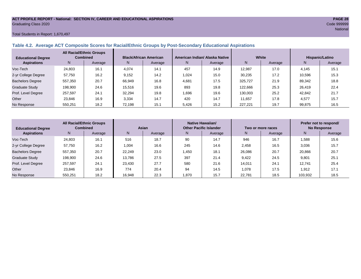#### **ACT PROFILE REPORT - National: SECTION IV, CAREER AND EDUCATIONAL ASPIRATIONS PAGE 28** Graduating Class 2020 Code 999999

#### Total Students in Report: 1,670,497

### **Table 4.2. Average ACT Composite Scores for Racial/Ethnic Groups by Post-Secondary Educational Aspirations**

| <b>All Racial/Ethnic Groups</b><br><b>Combined</b> |         | <b>Black/African American</b> |        | American Indian/ Alaska Native |       | White   |         | Hispanic/Latino |        |         |
|----------------------------------------------------|---------|-------------------------------|--------|--------------------------------|-------|---------|---------|-----------------|--------|---------|
| <b>Educational Degree</b><br><b>Aspirations</b>    | N.      | Average                       | N      | Average                        | N     | Average | N       | Average         | N.     | Average |
| Voc-Tech                                           | 24.803  | 16.1                          | 4.074  | 14.1                           | 457   | 14.9    | 12.987  | 17.0            | 4.145  | 15.1    |
| 2-yr College Degree                                | 57,750  | 16.2                          | 9.152  | 14.2                           | 1.024 | 15.0    | 30.235  | 17.2            | 10,596 | 15.3    |
| <b>Bachelors Degree</b>                            | 557,350 | 20.7                          | 66.949 | 16.8                           | 4,681 | 17.5    | 325.727 | 21.9            | 89,342 | 18.8    |
| <b>Graduate Study</b>                              | 198,900 | 24.6                          | 15.516 | 19.6                           | 893   | 19.8    | 122.666 | 25.3            | 26.419 | 22.4    |
| Prof. Level Degree                                 | 257.597 | 24.1                          | 32.294 | 19.8                           | 1.696 | 19.6    | 130.003 | 25.2            | 42.842 | 21.7    |
| Other                                              | 23.846  | 16.9                          | 3.334  | 14.7                           | 420   | 14.7    | 11.657  | 17.8            | 4.577  | 15.7    |
| No Response                                        | 550,251 | 18.2                          | 72,198 | 15.1                           | 5,426 | 15.2    | 227.221 | 19.7            | 99,875 | 16.5    |

| <b>All Racial/Ethnic Groups</b><br><b>Combined</b><br><b>Educational Degree</b> |         | Asian   |        | Native Hawaiian/<br><b>Other Pacific Islander</b> |       | Two or more races |        | Prefer not to respond/<br>No Response |         |         |
|---------------------------------------------------------------------------------|---------|---------|--------|---------------------------------------------------|-------|-------------------|--------|---------------------------------------|---------|---------|
| <b>Aspirations</b>                                                              | N       | Average | N      | Average                                           | N.    | Average           | N      | Average                               | N.      | Average |
| Voc-Tech                                                                        | 24,803  | 16.1    | 516    | 18.7                                              | 90    | 14.7              | 946    | 16.7                                  | 1,588   | 15.6    |
| 2-yr College Degree                                                             | 57,750  | 16.2    | 1.004  | 16.6                                              | 245   | 14.6              | 2,458  | 16.5                                  | 3,036   | 15.7    |
| <b>Bachelors Degree</b>                                                         | 557,350 | 20.7    | 22.249 | 23.0                                              | 1.450 | 18.1              | 26.086 | 20.7                                  | 20,866  | 20.7    |
| <b>Graduate Study</b>                                                           | 198,900 | 24.6    | 13,786 | 27.5                                              | 397   | 21.4              | 9,422  | 24.5                                  | 9,801   | 25.1    |
| Prof. Level Degree                                                              | 257.597 | 24.1    | 23.430 | 27.7                                              | 580   | 21.6              | 14.011 | 24.1                                  | 12.741  | 25.4    |
| Other                                                                           | 23.846  | 16.9    | 774    | 20.4                                              | 94    | 14.5              | 1.078  | 17.5                                  | 1,912   | 17.1    |
| No Response                                                                     | 550,251 | 18.2    | 16,948 | 22.3                                              | 1.870 | 15.7              | 22,781 | 18.5                                  | 103,932 | 18.5    |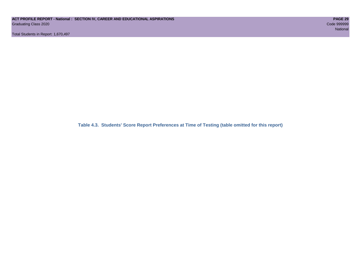**Table 4.3. Students' Score Report Preferences at Time of Testing (table omitted for this report)**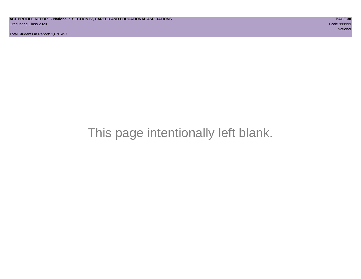**ACT PROFILE REPORT - National : SECTION IV, CAREER AND EDUCATIONAL ASPIRATIONS PAGE 30** Graduating Class 2020 Code 999999

Total Students in Report: 1,670,497

### This page intentionally left blank.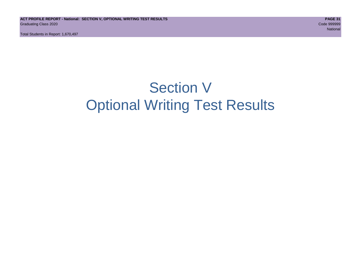# Section V Optional Writing Test Results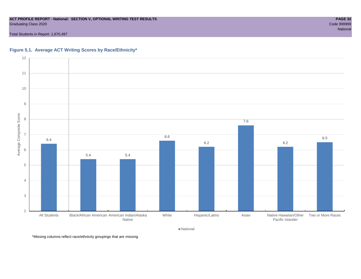#### **ACT PROFILE REPORT - National: SECTION V, OPTIONAL WRITING TEST RESULTS PAGE 32** Graduating Class 2020 Code 999999

Total Students in Report: 1,670,497

#### **Figure 5.1. Average ACT Writing Scores by Race/Ethnicity\***



\*Missing columns reflect race/ethnicity groupings that are missing.

national control of the control of the control of the control of the control of the control of the control of the control of the control of the control of the control of the control of the control of the control of the con